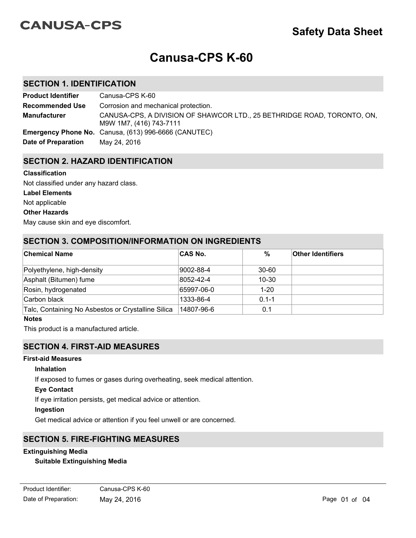# **CANUSA-CPS**

# **Canusa-CPS K-60**

## **SECTION 1. IDENTIFICATION**

| <b>Product Identifier</b> | Canusa-CPS K-60                                                                                    |
|---------------------------|----------------------------------------------------------------------------------------------------|
| <b>Recommended Use</b>    | Corrosion and mechanical protection.                                                               |
| <b>Manufacturer</b>       | CANUSA-CPS, A DIVISION OF SHAWCOR LTD., 25 BETHRIDGE ROAD, TORONTO, ON,<br>M9W 1M7, (416) 743-7111 |
|                           | <b>Emergency Phone No.</b> Canusa, (613) 996-6666 (CANUTEC)                                        |
| Date of Preparation       | May 24, 2016                                                                                       |

## **SECTION 2. HAZARD IDENTIFICATION**

#### **Classification**

**Label Elements** Not applicable Not classified under any hazard class.

#### **Other Hazards**

May cause skin and eye discomfort.

## **SECTION 3. COMPOSITION/INFORMATION ON INGREDIENTS**

| <b>Chemical Name</b>                               | <b>CAS No.</b> | $\%$      | <b>Other Identifiers</b> |
|----------------------------------------------------|----------------|-----------|--------------------------|
| Polyethylene, high-density                         | 9002-88-4      | 30-60     |                          |
| Asphalt (Bitumen) fume                             | 8052-42-4      | $10 - 30$ |                          |
| Rosin, hydrogenated                                | 65997-06-0     | $1 - 20$  |                          |
| Carbon black                                       | 1333-86-4      | $0.1 - 1$ |                          |
| Talc, Containing No Asbestos or Crystalline Silica | 14807-96-6     | 0.1       |                          |

#### **Notes**

This product is a manufactured article.

## **SECTION 4. FIRST-AID MEASURES**

### **First-aid Measures**

#### **Inhalation**

If exposed to fumes or gases during overheating, seek medical attention.

#### **Eye Contact**

If eye irritation persists, get medical advice or attention.

#### **Ingestion**

Get medical advice or attention if you feel unwell or are concerned.

## **SECTION 5. FIRE-FIGHTING MEASURES**

## **Extinguishing Media**

#### **Suitable Extinguishing Media**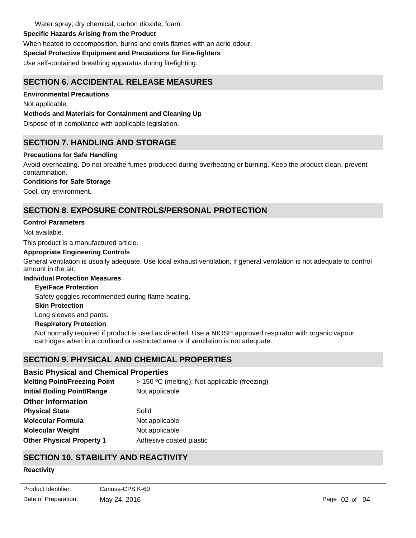Water spray; dry chemical; carbon dioxide; foam.

## **Specific Hazards Arising from the Product**

When heated to decomposition, burns and emits flames with an acrid odour.

## **Special Protective Equipment and Precautions for Fire-fighters**

Use self-contained breathing apparatus during firefighting.

# **SECTION 6. ACCIDENTAL RELEASE MEASURES**

## **Environmental Precautions**

Not applicable.

## **Methods and Materials for Containment and Cleaning Up**

Dispose of in compliance with applicable legislation.

# **SECTION 7. HANDLING AND STORAGE**

## **Precautions for Safe Handling**

Avoid overheating. Do not breathe fumes produced during overheating or burning. Keep the product clean, prevent contamination.

## **Conditions for Safe Storage**

Cool, dry environment.

# **SECTION 8. EXPOSURE CONTROLS/PERSONAL PROTECTION**

## **Control Parameters**

Not available.

This product is a manufactured article.

#### **Appropriate Engineering Controls**

General ventilation is usually adequate. Use local exhaust ventilation, if general ventilation is not adequate to control amount in the air.

#### **Individual Protection Measures**

#### **Eye/Face Protection**

Safety goggles recommended during flame heating.

#### **Skin Protection**

Long sleeves and pants.

#### **Respiratory Protection**

Not normally required if product is used as directed. Use a NIOSH approved respirator with organic vapour cartridges when in a confined or restricted area or if ventilation is not adequate.

## **SECTION 9. PHYSICAL AND CHEMICAL PROPERTIES**

## **Basic Physical and Chemical Properties**

| <b>Melting Point/Freezing Point</b> | > 150 °C (melting); Not applicable (freezing) |
|-------------------------------------|-----------------------------------------------|
| <b>Initial Boiling Point/Range</b>  | Not applicable                                |
| <b>Other Information</b>            |                                               |
| <b>Physical State</b>               | Solid                                         |
| <b>Molecular Formula</b>            | Not applicable                                |
| <b>Molecular Weight</b>             | Not applicable                                |
| <b>Other Physical Property 1</b>    | Adhesive coated plastic                       |

# **SECTION 10. STABILITY AND REACTIVITY**

## **Reactivity**

Not applicable.

Date of Preparation: May 24, 2016 Maximum 2016 Page 02 of 04 Product Identifier: Canusa-CPS K-60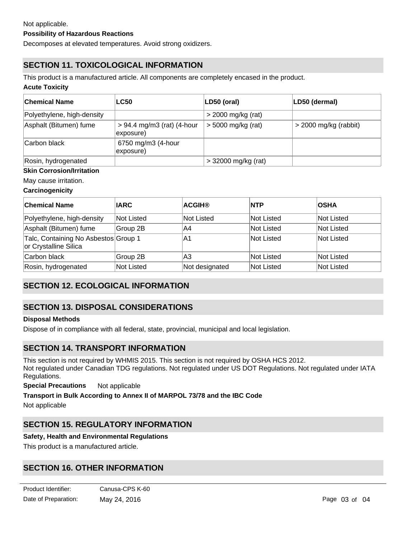### **Possibility of Hazardous Reactions**

Decomposes at elevated temperatures. Avoid strong oxidizers.

# **SECTION 11. TOXICOLOGICAL INFORMATION**

This product is a manufactured article. All components are completely encased in the product.

#### **Acute Toxicity**

| <b>Chemical Name</b>       | <b>LC50</b>                               | LD50 (oral)           | LD50 (dermal)           |
|----------------------------|-------------------------------------------|-----------------------|-------------------------|
| Polyethylene, high-density |                                           | $>$ 2000 mg/kg (rat)  |                         |
| Asphalt (Bitumen) fume     | $> 94.4$ mg/m3 (rat) (4-hour<br>exposure) | $>$ 5000 mg/kg (rat)  | $>$ 2000 mg/kg (rabbit) |
| Carbon black               | 6750 mg/m3 (4-hour<br>exposure)           |                       |                         |
| Rosin, hydrogenated        |                                           | $>$ 32000 mg/kg (rat) |                         |

#### **Skin Corrosion/Irritation**

May cause irritation.

#### **Carcinogenicity**

| ∣Chemical Name                                                | <b>IARC</b> | <b>ACGIH®</b>     | <b>NTP</b>        | <b>OSHA</b>       |
|---------------------------------------------------------------|-------------|-------------------|-------------------|-------------------|
| Polyethylene, high-density                                    | Not Listed  | <b>Not Listed</b> | lNot Listed       | lNot Listed       |
| Asphalt (Bitumen) fume                                        | Group 2B    | A4                | <b>Not Listed</b> | <b>Not Listed</b> |
| Talc, Containing No Asbestos Group 1<br>or Crystalline Silica |             | A1                | <b>Not Listed</b> | <b>Not Listed</b> |
| Carbon black                                                  | Group 2B    | A3                | <b>Not Listed</b> | Not Listed        |
| Rosin, hydrogenated                                           | Not Listed  | Not designated    | <b>Not Listed</b> | Not Listed        |

# **SECTION 12. ECOLOGICAL INFORMATION**

## **SECTION 13. DISPOSAL CONSIDERATIONS**

#### **Disposal Methods**

Dispose of in compliance with all federal, state, provincial, municipal and local legislation.

## **SECTION 14. TRANSPORT INFORMATION**

This section is not required by WHMIS 2015. This section is not required by OSHA HCS 2012. Not regulated under Canadian TDG regulations. Not regulated under US DOT Regulations. Not regulated under IATA Regulations.

**Special Precautions** Not applicable

**Transport in Bulk According to Annex II of MARPOL 73/78 and the IBC Code** Not applicable

# **SECTION 15. REGULATORY INFORMATION**

#### **Safety, Health and Environmental Regulations**

This product is a manufactured article.

## **SECTION 16. OTHER INFORMATION**

**SDS Prepared By** SHAWCOR LTD.